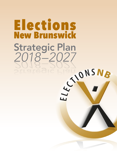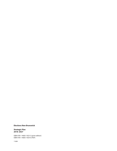#### **Elections New Brunswick**

#### **Strategic Plan 2018–2027**

ISBN 978-1-4605-1923-3 (print edition) ISBN 978-1-4605-1924-0 (PDF)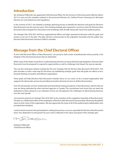## **Introduction**

Ms. Kimberly Poffenroth was appointed Chief Electoral Officer for the Province of New Brunswick effective March 2017 to carry out the mandate outlined in the provincial *Elections Act*, *Political Process Financing Act*, *Municipal Elections Act*, and related acts and regulations.

In the summer of 2017, she initiated a strategic planning process to identify the direction and goals for Elections New Brunswick over the next ten years. This resulting strategic plan represents a common vision for Elections New Brunswick that emerged from discussions and workshops with all staff, along with input from political parties.

The *Strategic Plan 2018-2027* will focus organizational efforts and align operational decisions with the goals and actions as set out in the plan. The plan will also communicate to the Legislative Assembly and the public how Elections New Brunswick intends to fulfil its mandate.

# **Message from the Chief Electoral Officer**

As the Chief Electoral Officer of New Brunswick, I am proud to lead a team of professionals whose priority is the integrity of the electoral processes that we administer.

While many of the duties we perform in administering elections are prescribed through legislation, Elections New Brunswick must be prepared to respond to opportunities as well as challenges that impact the way we operate.

This was the motivation behind creating the first ever *Strategic Plan for Elections New Brunswick (2018-2027*). This plan provides us with a road map for the future, by establishing strategic goals that will guide our efforts to be a forward-thinking, innovative and efficient organization.

These goals will help Elections New Brunswick maintain focus on our vision: to be a trusted organization that supports the democratic process by providing innovative electoral services to all New Brunswickers.

Over the last decade, we have modernized and streamlined voting procedures in New Brunswick, reforms that are now are being replicated by other electoral agencies in Canada. The commitment and vision that our team has dedicated to these advances is an indication of how we will approach the challenges of administering elections over the next decade.

I am proud to present our *Strategic Plan 2018-2027* to the members of the Legislative Assembly of New Brunswick. The plan is a collaborative effort of the employees of Elections New Brunswick who provided valued and thoughtful input on their vision of the organization. We also appreciate the input of all of the political party stakeholders who provided their feedback.

I wish to thank everyone who participated in making this process a success, especially the Elections New Brunswick team. Your dedication to and passion for your work is reflected in the values and goals of this strategic plan.

Kimberly Poffenroth Chief Electoral Officer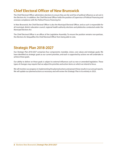# **Chief Electoral Officer of New Brunswick**

The Chief Electoral Officer administers elections to ensure they are fair and free of political influence as set out in the *Elections Act*. In addition, the Chief Electoral Officer holds the position of Supervisor of Political Financing and oversees compliance with the *Political Process Financing Act*.

In New Brunswick, the Chief Electoral Officer is also the Municipal Electoral Officer, and as such is responsible for all municipal, district education council, regional health authority elections and plebiscites conducted under the *Municipal Elections Act*.

The Chief Electoral Officer is an officer of the Legislative Assembly. To ensure the position remains non-partisan, the *Elections Act* disqualifies the Chief Electoral Officer from being able to vote.

# **Strategic Plan 2018-2027**

Our *Strategic Plan 2018-2027* comprises four components: mandate, vision, core values and strategic goals. We have identified six strategic goals as our current priorities, and each is supported by actions we will undertake to achieve these goals.

Our ability to deliver on these goals is subject to external influences such as new or amended legislation. These types of changes may require that we adjust the priorities and action items on which we intend to focus.

We will monitor our progress in implementing the planned actions and present these results in our annual reports. We will update our planned actions as necessary and will review the Strategic Plan in its entirety in 2023.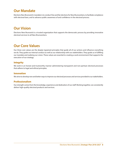# **Our Mandate**

Elections New Brunswick's mandate is to conduct free and fair elections for New Brunswickers, to facilitate compliance with electoral laws, and to advance public awareness of and confidence in the electoral process.

# **Our Vision**

Elections New Brunswick is a trusted organization that supports the democratic process by providing innovative electoral services to all New Brunswickers.

## **Our Core Values**

Our three core values are the deeply ingrained principles that guide all of our actions and influence everything we do. They guide our internal conduct as well as our relationship with our stakeholders. They guide us in fulfilling our mandate and realizing our vision. These values are essential to creating a work environment that supports the execution of our strategy.

## **Integrity**

We work in an honest and trustworthy manner administering transparent and non-partisan electoral processes that adhere to legal and ethical principles.

## **Innovation**

We strive to develop new and better ways to improve our electoral processes and services provided to our stakeholders.

## **Professionalism**

Our strength comes from the knowledge, experience and dedication of our staff. Working together, we consistently deliver high-quality electoral products and services.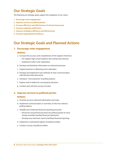## **Our Strategic Goals**

The following six strategic goals support the realization of our vision.

- **1. Encourage voter engagement**
- **2. Improve services to political parties**
- **3. Increase efficiency and effectiveness of electoral processes**
- **4. Increase employee satisfaction**
- **5. Improve workplace efficiency and effectiveness**
- **6. Increase organizational resilience**

## **Our Strategic Goals and Planned Actions**

#### **1. Encourage voter engagement**

#### *Actions:*

- a. Increase the accuracy and completeness of the register of electors
	- Pre-register high school students who will become electors
	- Implement online voter registration
- b. Develop and distribute information on electoral processes
- c. Support partners in delivering civics education
- d. Develop and implement new methods of voter communication with Elections New Brunswick
- e. Introduce "vote anywhere" at polling stations
- f. Explore mail-in ballots for municipal by-elections
- g. Conduct post-election surveys of voters

### **2. Improve services to political parties**

#### *Actions:*

- a. Promote access to electoral information and maps
- b. Implement communication, in real-time, of who has voted at polling stations
- c. Simplify and modernize financial reporting processes
	- Revise the annual financial return for political parties to more closely resemble standard financial statements
	- Develop new electronic tools to facilitate financial reporting
- d. Implement a web-based registry of political entities
- e. Conduct surveys of political entities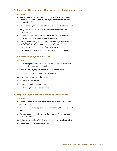## **3. Increase efficiency and effectiveness of electoral processes**

### *Actions:*

- a. Seek legislative change to adopt a merit-based, competitive hiring process for Returning Officers, Municipal Returning Officers and other field staff
- b. Provide ongoing and innovative training opportunities for field staff
- c. Design and implement an election worker management and payment system
- d. Acquire additional technical and human resources to develop improved electoral and administrative processes
- e. Seek legislative change to modernize electoral legislation (*Elections Act*, *Political Process Financing Act* and *Municipal Elections Act*)
	- Improve investigation and enforcement provisions
	- Recognize impact of fixed-date elections on political financing

### **4. Increase employee satisfaction**

#### *Actions:*

- a. Align the organizational structure with the Elections New Brunswick mandate, vision and strategic goals
- b. Revise the employee performance management system
- c. Provide for employee professional development
- d. Recognize and reward performance
- e. Support work-life balance
- f. Improve internal communications
- g. Conduct employee satisfaction surveys

### **5. Improve workplace efficiency and effectiveness**

#### *Actions:*

- a. Review and document existing Elections New Brunswick policies and procedures
- b. Improve administrative processes and supporting file management system
- c. Develop, document and implement new administrative policies where gaps exist
- d. Co-locate the Elections New Brunswick warehouse and head office
- e. Prepare and publish an annual report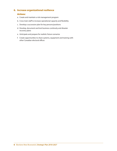## **6. Increase organizational resilience**

## *Actions:*

- a. Create and maintain a risk management program
- b. Cross-train staff to increase operational capacity and flexibility
- c. Develop a succession plan for key persons/positions
- d. Develop, document and test business continuity and disaster recovery plans
- e. Anticipate and prepare for realistic future scenarios
- f. Create opportunities to share systems, equipment and training with other Canadian electoral offices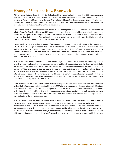# **History of Elections New Brunswick**

With a history that pre-dates Canada's Confederation, New Brunswick has had more than 200 years' experience with elections. Some of that history is quite colourful and features controversial scandals, civic unrest, blatant voter "persuasion" and outright corruption. However, the evolution of legislative democracy, particularly in the last halfcentury, has resulted in the adoption of accountable, principled and carefully managed administrative electoral processes that are in step with other Canadian jurisdictions.

Significant advances can be traced to electoral reform in 1967. Among other changes, that reform resulted in universal adult suffrage for Canadian citizens aged 21 years or older – until then only landholders were eligible to vote – and control over all aspects of balloting being taken away from political parties. The position of the Chief Electoral Officer was established, independent of the political party system and directly accountable to the Legislative Assembly. The first Chief Electoral Officer was Donald Whalen (1967-1970).

The 1967 reforms began a prolonged period of incremental change starting with the lowering of the voting age to 18 in 1971. In 1974, single-member districts were created to replace the traditional multi-member district system, and, in 1978, the province began to regulate election finances through the Office of the Supervisor of Political Financing. Disparity in constituency sizes, which was a factor in the 1987 election, led to the establishment in 1991 of the New Brunswick Boundaries Commission; its report in 1993 resulted in the Legislative Assembly adopting new constituency boundaries.

In 2003, the Government appointed a Commission on Legislative Democracy to review the electoral processes as well as report on legislative reform, referenda, party politics, civics education and the democratic deficit. Its recommendations were broad and often controversial, but the *Electoral Boundaries and Representation Act* was passed in 2005, and an Electoral Boundaries and Representation Commission was appointed to implement the law. In its extensive review, aided by the Office of the Chief Electoral Officer, the Commission considered communities of interest, representation of the province's two official linguistic communities, population shifts, specific challenges in rural areas, municipal and administrative boundaries, and geography, as well as other factors. The boundary redistribution was in place for the 2006 election.

Other reforms followed. In 2007, fixed election dates were adopted. Another recommendation from the Commission on Legislative Democracy led to the establishment in 2007 of a new, independent electoral office, called Elections New Brunswick. It combined the duties and responsibilities of the Office of the Chief Electoral Officer and the Office of the Supervisor of Political Financing, with an expanded mandate: to conduct elections and referenda; supervise political financing and make it more transparent and accountable; promote New Brunswick's electoral process; and report directly to the Legislative Assembly.

In the most recent initiative, the Government of New Brunswick established a Commission on Electoral Reform in 2016 to consider ways to improve participation in democracy. Its report, "A Pathway to an Inclusive Democracy", was released in March 2017. In its response to the Commission, the Government has implemented a number of recommendations aimed at encouraging voter participation and has also committed to giving New Brunswickers the chance to voice their opinion on issues, such as lowering the voting age and new voting options in the future, while committing to ensuring Elections New Brunswick receives the required resources to accomplish these goals.